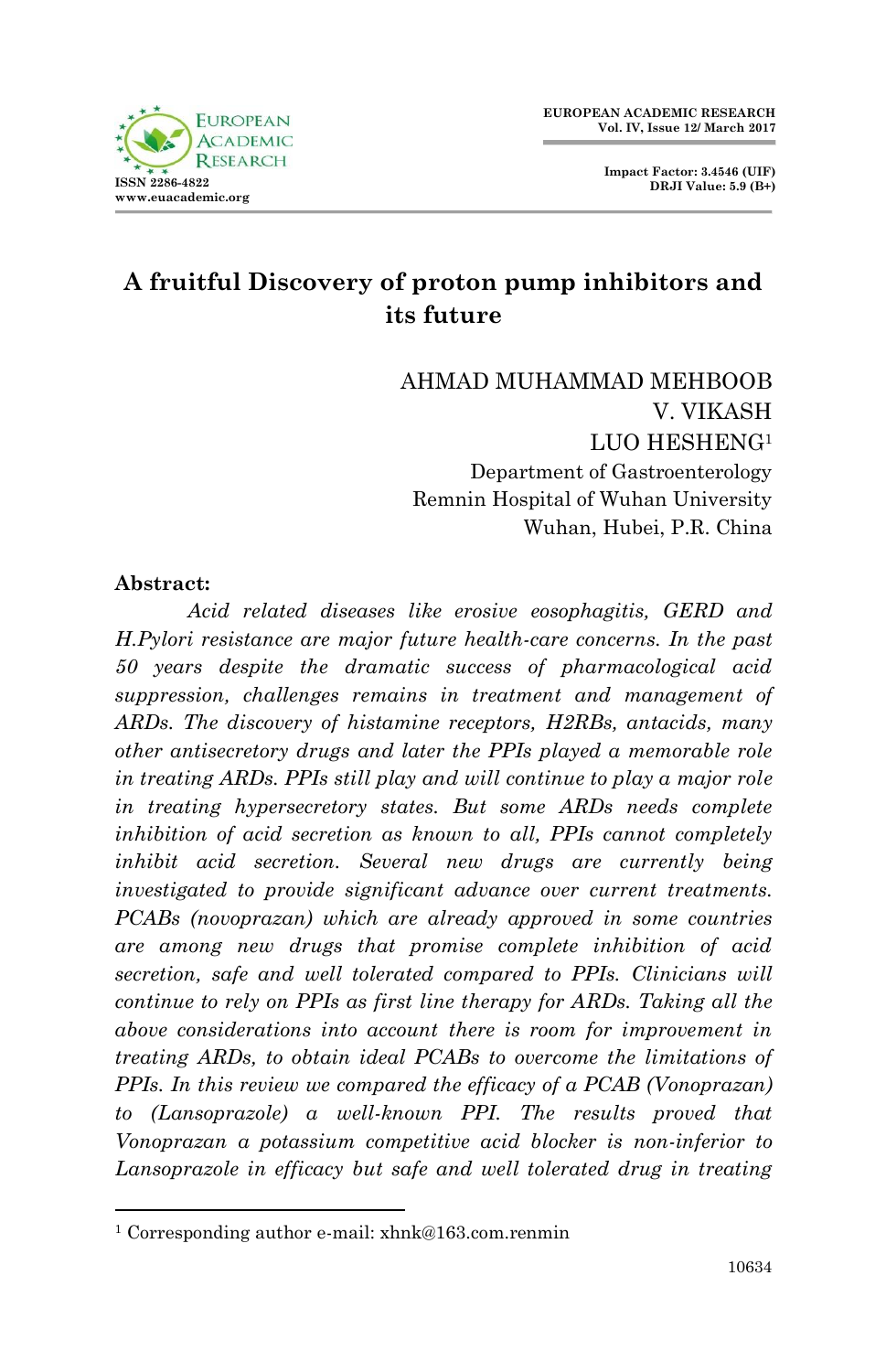**Impact Factor: 3.4546 (UIF) DRJI Value: 5.9 (B+)**

# **A fruitful Discovery of proton pump inhibitors and its future**

AHMAD MUHAMMAD MEHBOOB V. VIKASH LUO HESHENG<sup>1</sup> Department of Gastroenterology Remnin Hospital of Wuhan University Wuhan, Hubei, P.R. China

#### **Abstract:**

1

*Acid related diseases like erosive eosophagitis, GERD and H.Pylori resistance are major future health-care concerns. In the past 50 years despite the dramatic success of pharmacological acid suppression, challenges remains in treatment and management of ARDs. The discovery of histamine receptors, H2RBs, antacids, many other antisecretory drugs and later the PPIs played a memorable role in treating ARDs. PPIs still play and will continue to play a major role in treating hypersecretory states. But some ARDs needs complete inhibition of acid secretion as known to all, PPIs cannot completely inhibit acid secretion. Several new drugs are currently being investigated to provide significant advance over current treatments. PCABs (novoprazan) which are already approved in some countries are among new drugs that promise complete inhibition of acid secretion, safe and well tolerated compared to PPIs. Clinicians will continue to rely on PPIs as first line therapy for ARDs. Taking all the above considerations into account there is room for improvement in treating ARDs, to obtain ideal PCABs to overcome the limitations of PPIs. In this review we compared the efficacy of a PCAB (Vonoprazan) to (Lansoprazole) a well-known PPI. The results proved that Vonoprazan a potassium competitive acid blocker is non-inferior to Lansoprazole in efficacy but safe and well tolerated drug in treating* 

<sup>1</sup> Corresponding author e-mail: xhnk@163.com.renmin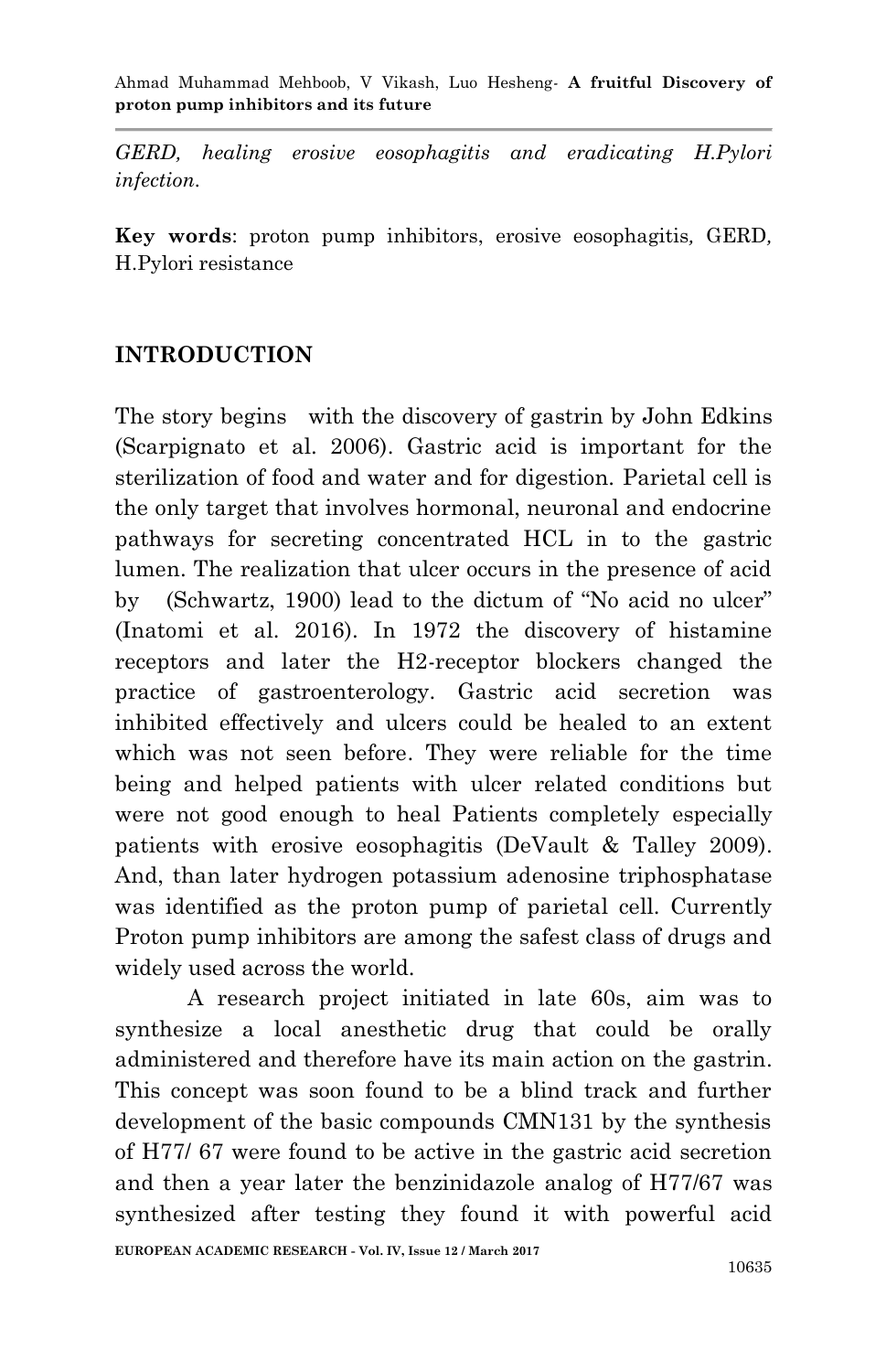*GERD, healing erosive eosophagitis and eradicating H.Pylori infection.*

**Key words**: proton pump inhibitors, erosive eosophagitis*,* GERD*,*  H.Pylori resistance

#### **INTRODUCTION**

The story begins with the discovery of gastrin by John Edkins (Scarpignato et al. 2006). Gastric acid is important for the sterilization of food and water and for digestion. Parietal cell is the only target that involves hormonal, neuronal and endocrine pathways for secreting concentrated HCL in to the gastric lumen. The realization that ulcer occurs in the presence of acid by (Schwartz, 1900) lead to the dictum of "No acid no ulcer" (Inatomi et al. 2016). In 1972 the discovery of histamine receptors and later the H2-receptor blockers changed the practice of gastroenterology. Gastric acid secretion was inhibited effectively and ulcers could be healed to an extent which was not seen before. They were reliable for the time being and helped patients with ulcer related conditions but were not good enough to heal Patients completely especially patients with erosive eosophagitis (DeVault & Talley 2009). And, than later hydrogen potassium adenosine triphosphatase was identified as the proton pump of parietal cell. Currently Proton pump inhibitors are among the safest class of drugs and widely used across the world.

A research project initiated in late 60s, aim was to synthesize a local anesthetic drug that could be orally administered and therefore have its main action on the gastrin. This concept was soon found to be a blind track and further development of the basic compounds CMN131 by the synthesis of H77/ 67 were found to be active in the gastric acid secretion and then a year later the benzinidazole analog of H77/67 was synthesized after testing they found it with powerful acid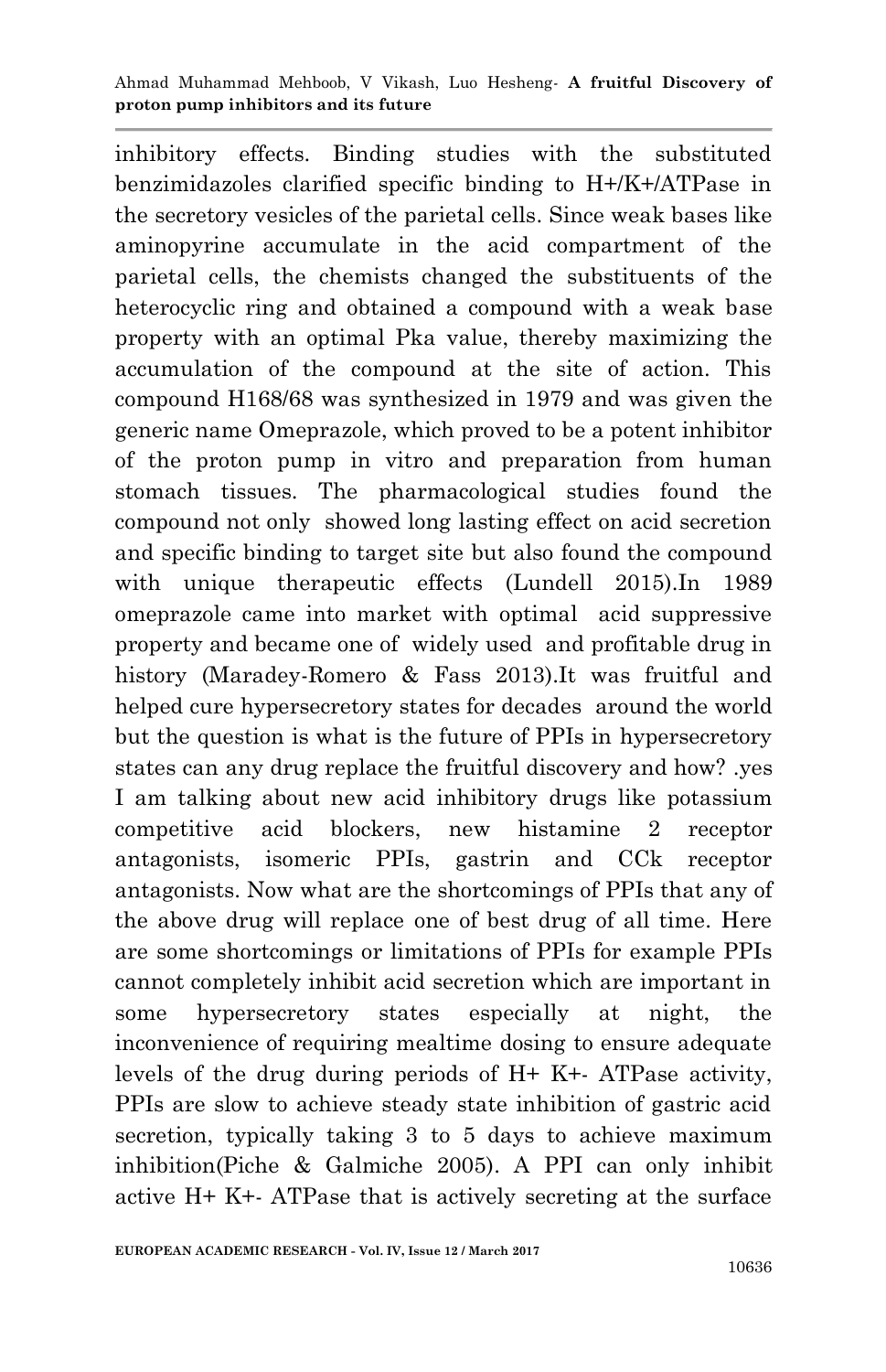inhibitory effects. Binding studies with the substituted benzimidazoles clarified specific binding to H+/K+/ATPase in the secretory vesicles of the parietal cells. Since weak bases like aminopyrine accumulate in the acid compartment of the parietal cells, the chemists changed the substituents of the heterocyclic ring and obtained a compound with a weak base property with an optimal Pka value, thereby maximizing the accumulation of the compound at the site of action. This compound H168/68 was synthesized in 1979 and was given the generic name Omeprazole, which proved to be a potent inhibitor of the proton pump in vitro and preparation from human stomach tissues. The pharmacological studies found the compound not only showed long lasting effect on acid secretion and specific binding to target site but also found the compound with unique therapeutic effects (Lundell 2015).In 1989 omeprazole came into market with optimal acid suppressive property and became one of widely used and profitable drug in history (Maradey-Romero & Fass 2013).It was fruitful and helped cure hypersecretory states for decades around the world but the question is what is the future of PPIs in hypersecretory states can any drug replace the fruitful discovery and how? .yes I am talking about new acid inhibitory drugs like potassium competitive acid blockers, new histamine 2 receptor antagonists, isomeric PPIs, gastrin and CCk receptor antagonists. Now what are the shortcomings of PPIs that any of the above drug will replace one of best drug of all time. Here are some shortcomings or limitations of PPIs for example PPIs cannot completely inhibit acid secretion which are important in some hypersecretory states especially at night, the inconvenience of requiring mealtime dosing to ensure adequate levels of the drug during periods of H+ K+- ATPase activity, PPIs are slow to achieve steady state inhibition of gastric acid secretion, typically taking 3 to 5 days to achieve maximum inhibition(Piche & Galmiche 2005). A PPI can only inhibit active H+ K+- ATPase that is actively secreting at the surface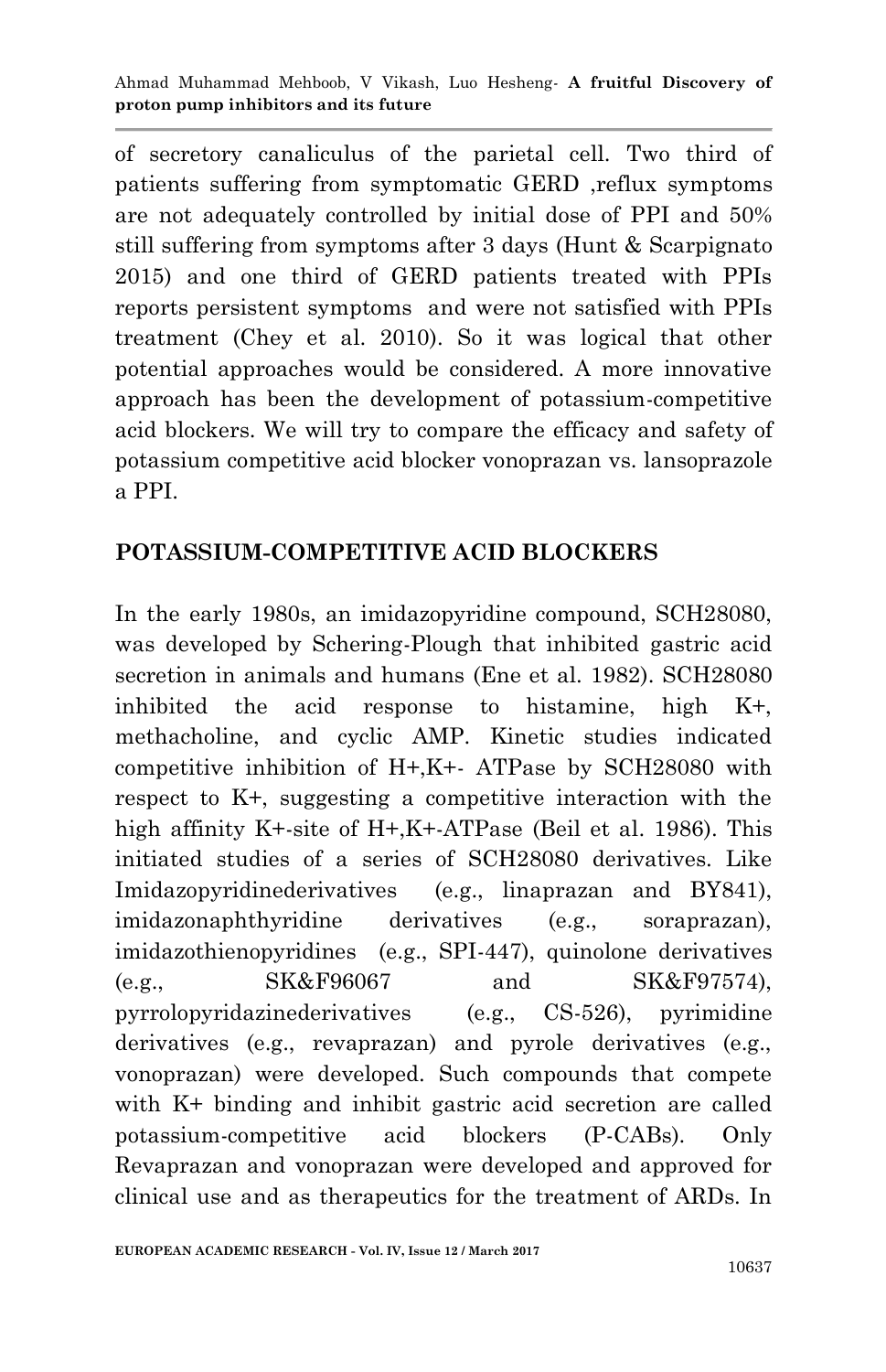of secretory canaliculus of the parietal cell. Two third of patients suffering from symptomatic GERD ,reflux symptoms are not adequately controlled by initial dose of PPI and 50% still suffering from symptoms after 3 days (Hunt & Scarpignato 2015) and one third of GERD patients treated with PPIs reports persistent symptoms and were not satisfied with PPIs treatment (Chey et al. 2010). So it was logical that other potential approaches would be considered. A more innovative approach has been the development of potassium-competitive acid blockers. We will try to compare the efficacy and safety of potassium competitive acid blocker vonoprazan vs. lansoprazole a PPI.

#### **POTASSIUM-COMPETITIVE ACID BLOCKERS**

In the early 1980s, an imidazopyridine compound, SCH28080, was developed by Schering-Plough that inhibited gastric acid secretion in animals and humans (Ene et al. 1982). SCH28080 inhibited the acid response to histamine, high K+, methacholine, and cyclic AMP. Kinetic studies indicated competitive inhibition of H+,K+- ATPase by SCH28080 with respect to K+, suggesting a competitive interaction with the high affinity K+-site of H+, K+-ATPase (Beil et al. 1986). This initiated studies of a series of SCH28080 derivatives. Like Imidazopyridinederivatives (e.g., linaprazan and BY841), imidazonaphthyridine derivatives (e.g., soraprazan), imidazothienopyridines (e.g., SPI-447), quinolone derivatives (e.g., SK&F96067 and SK&F97574), pyrrolopyridazinederivatives (e.g., CS-526), pyrimidine derivatives (e.g., revaprazan) and pyrole derivatives (e.g., vonoprazan) were developed. Such compounds that compete with K+ binding and inhibit gastric acid secretion are called potassium-competitive acid blockers (P-CABs). Only Revaprazan and vonoprazan were developed and approved for clinical use and as therapeutics for the treatment of ARDs. In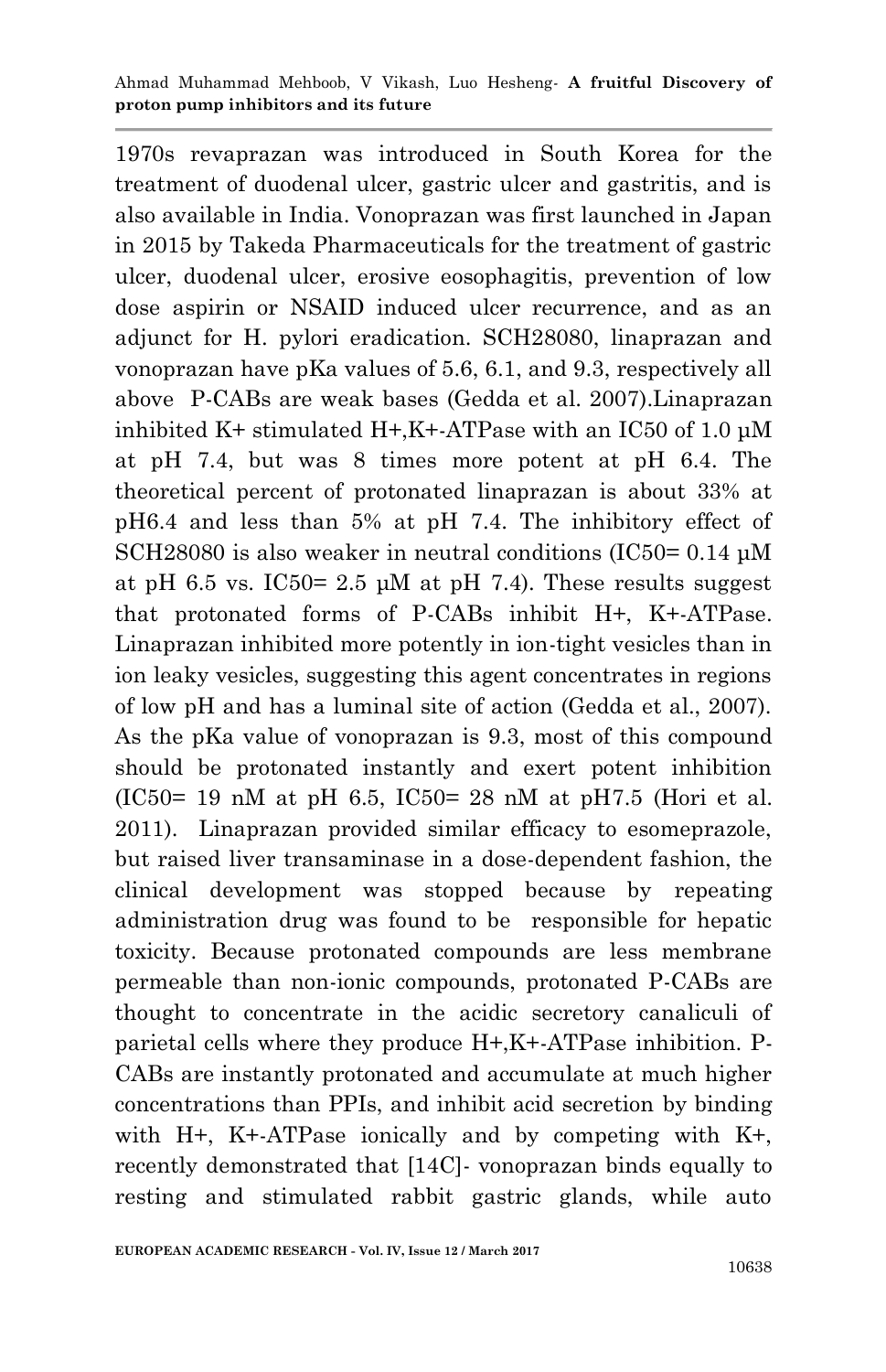Ahmad Muhammad Mehboob, V Vikash, Luo Hesheng*-* **A fruitful Discovery of proton pump inhibitors and its future**

1970s revaprazan was introduced in South Korea for the treatment of duodenal ulcer, gastric ulcer and gastritis, and is also available in India. Vonoprazan was first launched in Japan in 2015 by Takeda Pharmaceuticals for the treatment of gastric ulcer, duodenal ulcer, erosive eosophagitis, prevention of low dose aspirin or NSAID induced ulcer recurrence, and as an adjunct for H. pylori eradication. SCH28080, linaprazan and vonoprazan have pKa values of 5.6, 6.1, and 9.3, respectively all above P-CABs are weak bases (Gedda et al. 2007).Linaprazan inhibited K+ stimulated H+,K+-ATPase with an IC50 of 1.0 μM at pH 7.4, but was 8 times more potent at pH 6.4. The theoretical percent of protonated linaprazan is about 33% at pH6.4 and less than 5% at pH 7.4. The inhibitory effect of SCH28080 is also weaker in neutral conditions (IC50= 0.14 μM at pH 6.5 vs. IC50= 2.5  $\mu$ M at pH 7.4). These results suggest that protonated forms of P-CABs inhibit H+, K+-ATPase. Linaprazan inhibited more potently in ion-tight vesicles than in ion leaky vesicles, suggesting this agent concentrates in regions of low pH and has a luminal site of action (Gedda et al., 2007). As the pKa value of vonoprazan is 9.3, most of this compound should be protonated instantly and exert potent inhibition (IC50= 19 nM at pH 6.5, IC50= 28 nM at pH7.5 (Hori et al. 2011). Linaprazan provided similar efficacy to esomeprazole, but raised liver transaminase in a dose-dependent fashion, the clinical development was stopped because by repeating administration drug was found to be responsible for hepatic toxicity. Because protonated compounds are less membrane permeable than non-ionic compounds, protonated P-CABs are thought to concentrate in the acidic secretory canaliculi of parietal cells where they produce H+,K+-ATPase inhibition. P-CABs are instantly protonated and accumulate at much higher concentrations than PPIs, and inhibit acid secretion by binding with H+, K+-ATPase ionically and by competing with K+, recently demonstrated that [14C]- vonoprazan binds equally to resting and stimulated rabbit gastric glands, while auto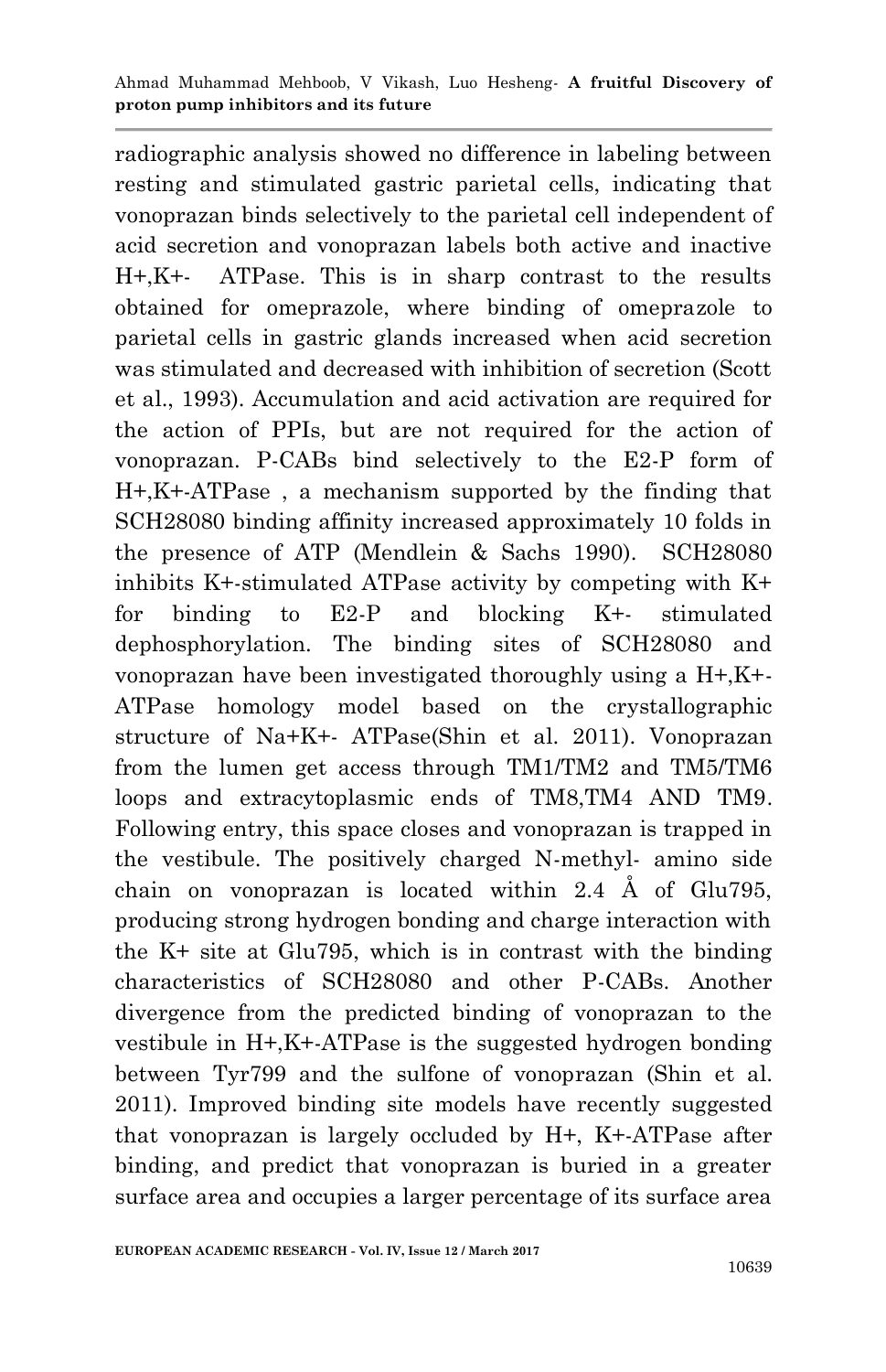radiographic analysis showed no difference in labeling between resting and stimulated gastric parietal cells, indicating that vonoprazan binds selectively to the parietal cell independent of acid secretion and vonoprazan labels both active and inactive H+,K+- ATPase. This is in sharp contrast to the results obtained for omeprazole, where binding of omeprazole to parietal cells in gastric glands increased when acid secretion was stimulated and decreased with inhibition of secretion (Scott et al., 1993). Accumulation and acid activation are required for the action of PPIs, but are not required for the action of vonoprazan. P-CABs bind selectively to the E2-P form of H+,K+-ATPase , a mechanism supported by the finding that SCH28080 binding affinity increased approximately 10 folds in the presence of ATP (Mendlein & Sachs 1990). SCH28080 inhibits K+-stimulated ATPase activity by competing with K+ for binding to E2-P and blocking K+- stimulated dephosphorylation. The binding sites of SCH28080 and vonoprazan have been investigated thoroughly using a H+,K+- ATPase homology model based on the crystallographic structure of Na+K+- ATPase(Shin et al. 2011). Vonoprazan from the lumen get access through TM1/TM2 and TM5/TM6 loops and extracytoplasmic ends of TM8,TM4 AND TM9. Following entry, this space closes and vonoprazan is trapped in the vestibule. The positively charged N-methyl- amino side chain on vonoprazan is located within 2.4 Å of Glu795, producing strong hydrogen bonding and charge interaction with the K+ site at Glu795, which is in contrast with the binding characteristics of SCH28080 and other P-CABs. Another divergence from the predicted binding of vonoprazan to the vestibule in H+,K+-ATPase is the suggested hydrogen bonding between Tyr799 and the sulfone of vonoprazan (Shin et al. 2011). Improved binding site models have recently suggested that vonoprazan is largely occluded by H+, K+-ATPase after binding, and predict that vonoprazan is buried in a greater surface area and occupies a larger percentage of its surface area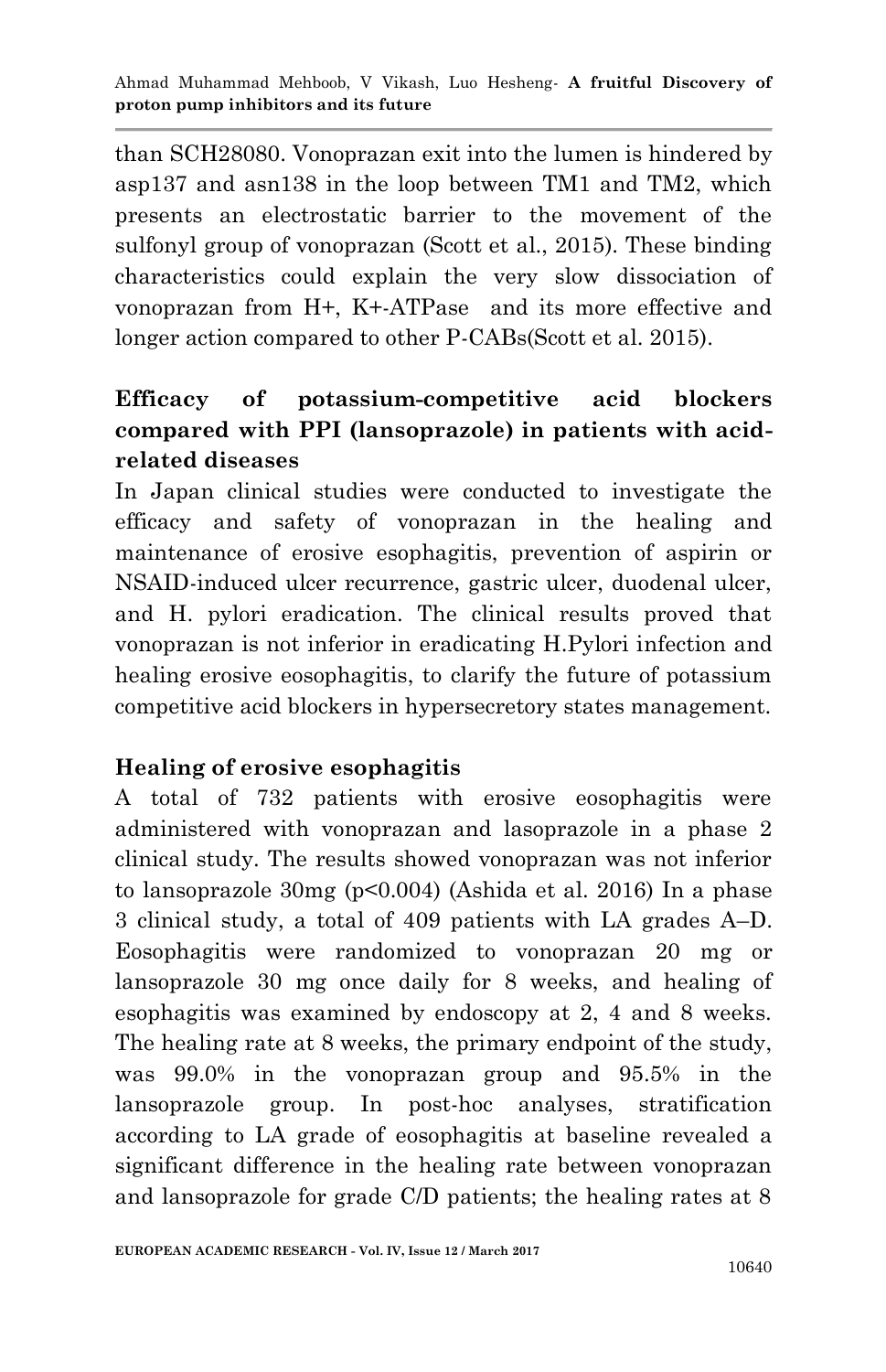than SCH28080. Vonoprazan exit into the lumen is hindered by asp137 and asn138 in the loop between TM1 and TM2, which presents an electrostatic barrier to the movement of the sulfonyl group of vonoprazan (Scott et al., 2015). These binding characteristics could explain the very slow dissociation of vonoprazan from H+, K+-ATPase and its more effective and longer action compared to other P-CABs(Scott et al. 2015).

# **Efficacy of potassium-competitive acid blockers compared with PPI (lansoprazole) in patients with acidrelated diseases**

In Japan clinical studies were conducted to investigate the efficacy and safety of vonoprazan in the healing and maintenance of erosive esophagitis, prevention of aspirin or NSAID-induced ulcer recurrence, gastric ulcer, duodenal ulcer, and H. pylori eradication. The clinical results proved that vonoprazan is not inferior in eradicating H.Pylori infection and healing erosive eosophagitis, to clarify the future of potassium competitive acid blockers in hypersecretory states management.

### **Healing of erosive esophagitis**

A total of 732 patients with erosive eosophagitis were administered with vonoprazan and lasoprazole in a phase 2 clinical study. The results showed vonoprazan was not inferior to lansoprazole 30mg (p<0.004) (Ashida et al. 2016) In a phase 3 clinical study, a total of 409 patients with LA grades A–D. Eosophagitis were randomized to vonoprazan 20 mg or lansoprazole 30 mg once daily for 8 weeks, and healing of esophagitis was examined by endoscopy at 2, 4 and 8 weeks. The healing rate at 8 weeks, the primary endpoint of the study, was 99.0% in the vonoprazan group and 95.5% in the lansoprazole group. In post-hoc analyses, stratification according to LA grade of eosophagitis at baseline revealed a significant difference in the healing rate between vonoprazan and lansoprazole for grade C/D patients; the healing rates at 8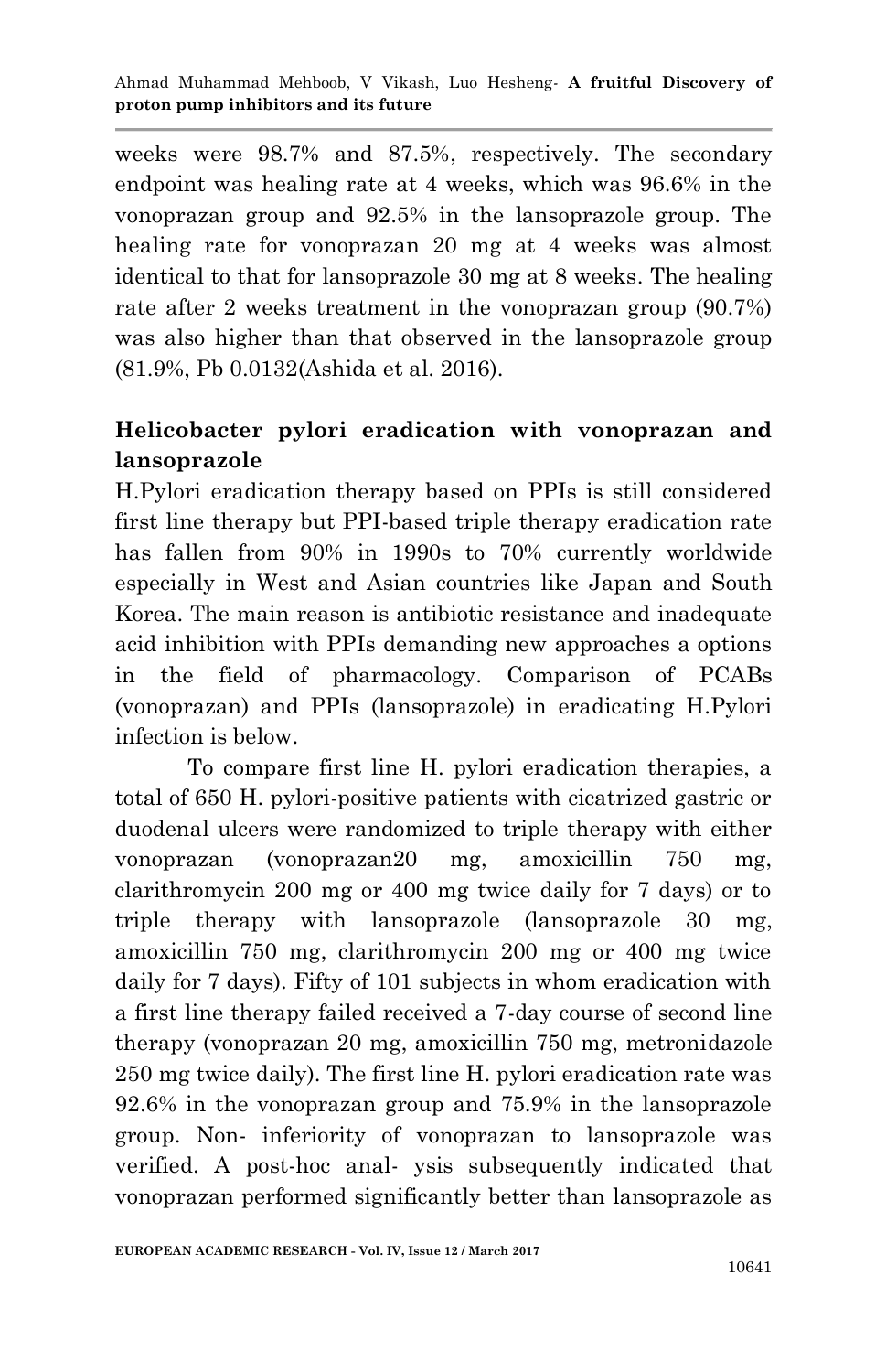weeks were 98.7% and 87.5%, respectively. The secondary endpoint was healing rate at 4 weeks, which was 96.6% in the vonoprazan group and 92.5% in the lansoprazole group. The healing rate for vonoprazan 20 mg at 4 weeks was almost identical to that for lansoprazole 30 mg at 8 weeks. The healing rate after 2 weeks treatment in the vonoprazan group (90.7%) was also higher than that observed in the lansoprazole group (81.9%, Pb 0.0132(Ashida et al. 2016).

## **Helicobacter pylori eradication with vonoprazan and lansoprazole**

H.Pylori eradication therapy based on PPIs is still considered first line therapy but PPI-based triple therapy eradication rate has fallen from 90% in 1990s to 70% currently worldwide especially in West and Asian countries like Japan and South Korea. The main reason is antibiotic resistance and inadequate acid inhibition with PPIs demanding new approaches a options in the field of pharmacology. Comparison of PCABs (vonoprazan) and PPIs (lansoprazole) in eradicating H.Pylori infection is below.

 To compare first line H. pylori eradication therapies, a total of 650 H. pylori-positive patients with cicatrized gastric or duodenal ulcers were randomized to triple therapy with either vonoprazan (vonoprazan20 mg, amoxicillin 750 mg, clarithromycin 200 mg or 400 mg twice daily for 7 days) or to triple therapy with lansoprazole (lansoprazole 30 mg, amoxicillin 750 mg, clarithromycin 200 mg or 400 mg twice daily for 7 days). Fifty of 101 subjects in whom eradication with a first line therapy failed received a 7-day course of second line therapy (vonoprazan 20 mg, amoxicillin 750 mg, metronidazole 250 mg twice daily). The first line H. pylori eradication rate was 92.6% in the vonoprazan group and 75.9% in the lansoprazole group. Non- inferiority of vonoprazan to lansoprazole was verified. A post-hoc anal- ysis subsequently indicated that vonoprazan performed significantly better than lansoprazole as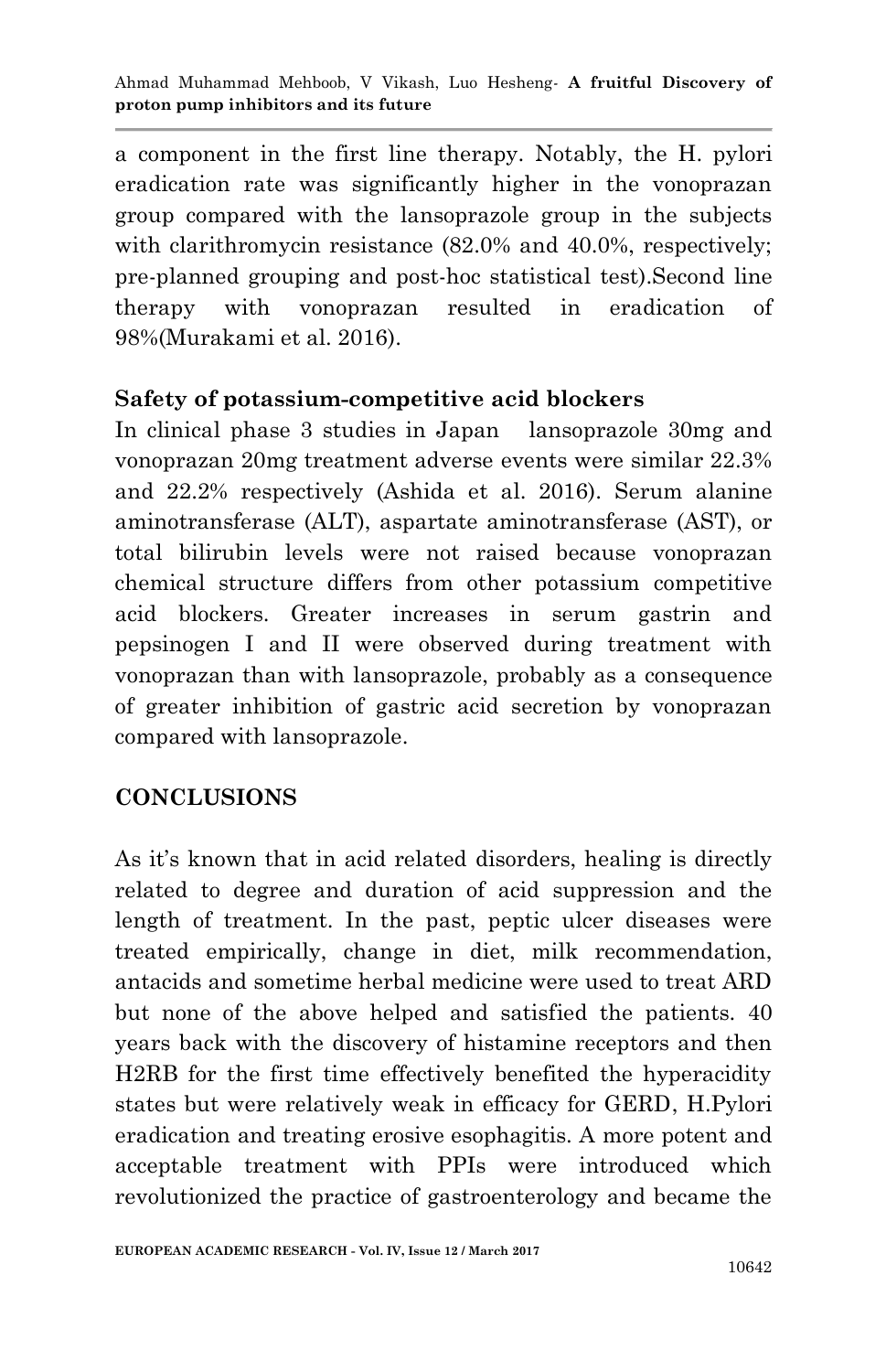a component in the first line therapy. Notably, the H. pylori eradication rate was significantly higher in the vonoprazan group compared with the lansoprazole group in the subjects with clarithromycin resistance  $(82.0\%$  and  $40.0\%$ , respectively; pre-planned grouping and post-hoc statistical test).Second line therapy with vonoprazan resulted in eradication of 98%(Murakami et al. 2016).

#### **Safety of potassium-competitive acid blockers**

In clinical phase 3 studies in Japan lansoprazole 30mg and vonoprazan 20mg treatment adverse events were similar 22.3% and 22.2% respectively (Ashida et al. 2016). Serum alanine aminotransferase (ALT), aspartate aminotransferase (AST), or total bilirubin levels were not raised because vonoprazan chemical structure differs from other potassium competitive acid blockers. Greater increases in serum gastrin and pepsinogen I and II were observed during treatment with vonoprazan than with lansoprazole, probably as a consequence of greater inhibition of gastric acid secretion by vonoprazan compared with lansoprazole.

### **CONCLUSIONS**

As it's known that in acid related disorders, healing is directly related to degree and duration of acid suppression and the length of treatment. In the past, peptic ulcer diseases were treated empirically, change in diet, milk recommendation, antacids and sometime herbal medicine were used to treat ARD but none of the above helped and satisfied the patients. 40 years back with the discovery of histamine receptors and then H2RB for the first time effectively benefited the hyperacidity states but were relatively weak in efficacy for GERD, H.Pylori eradication and treating erosive esophagitis. A more potent and acceptable treatment with PPIs were introduced which revolutionized the practice of gastroenterology and became the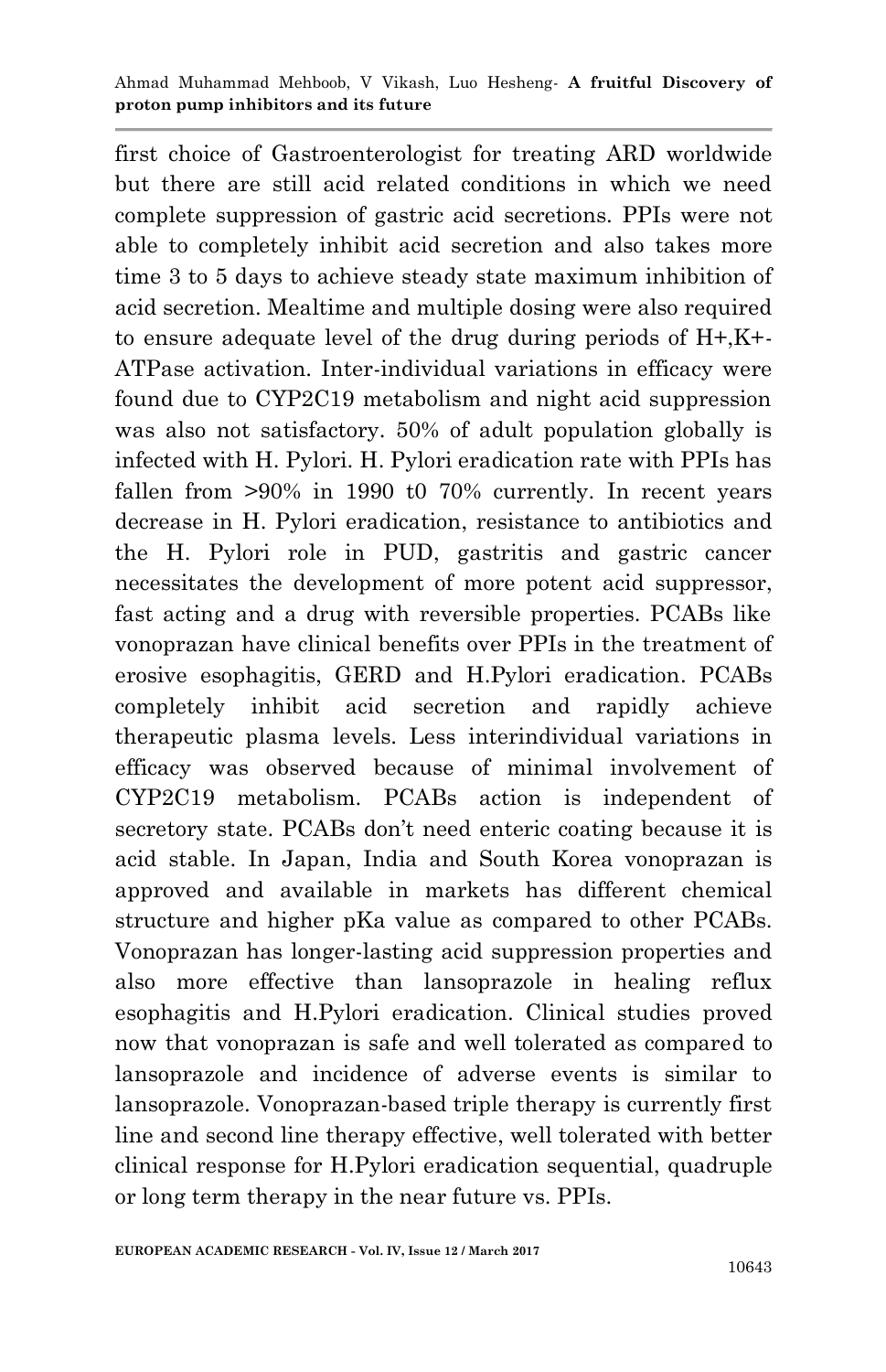first choice of Gastroenterologist for treating ARD worldwide but there are still acid related conditions in which we need complete suppression of gastric acid secretions. PPIs were not able to completely inhibit acid secretion and also takes more time 3 to 5 days to achieve steady state maximum inhibition of acid secretion. Mealtime and multiple dosing were also required to ensure adequate level of the drug during periods of H+,K+- ATPase activation. Inter-individual variations in efficacy were found due to CYP2C19 metabolism and night acid suppression was also not satisfactory. 50% of adult population globally is infected with H. Pylori. H. Pylori eradication rate with PPIs has fallen from >90% in 1990 t0 70% currently. In recent years decrease in H. Pylori eradication, resistance to antibiotics and the H. Pylori role in PUD, gastritis and gastric cancer necessitates the development of more potent acid suppressor, fast acting and a drug with reversible properties. PCABs like vonoprazan have clinical benefits over PPIs in the treatment of erosive esophagitis, GERD and H.Pylori eradication. PCABs completely inhibit acid secretion and rapidly achieve therapeutic plasma levels. Less interindividual variations in efficacy was observed because of minimal involvement of CYP2C19 metabolism. PCABs action is independent of secretory state. PCABs don't need enteric coating because it is acid stable. In Japan, India and South Korea vonoprazan is approved and available in markets has different chemical structure and higher pKa value as compared to other PCABs. Vonoprazan has longer-lasting acid suppression properties and also more effective than lansoprazole in healing reflux esophagitis and H.Pylori eradication. Clinical studies proved now that vonoprazan is safe and well tolerated as compared to lansoprazole and incidence of adverse events is similar to lansoprazole. Vonoprazan-based triple therapy is currently first line and second line therapy effective, well tolerated with better clinical response for H.Pylori eradication sequential, quadruple or long term therapy in the near future vs. PPIs.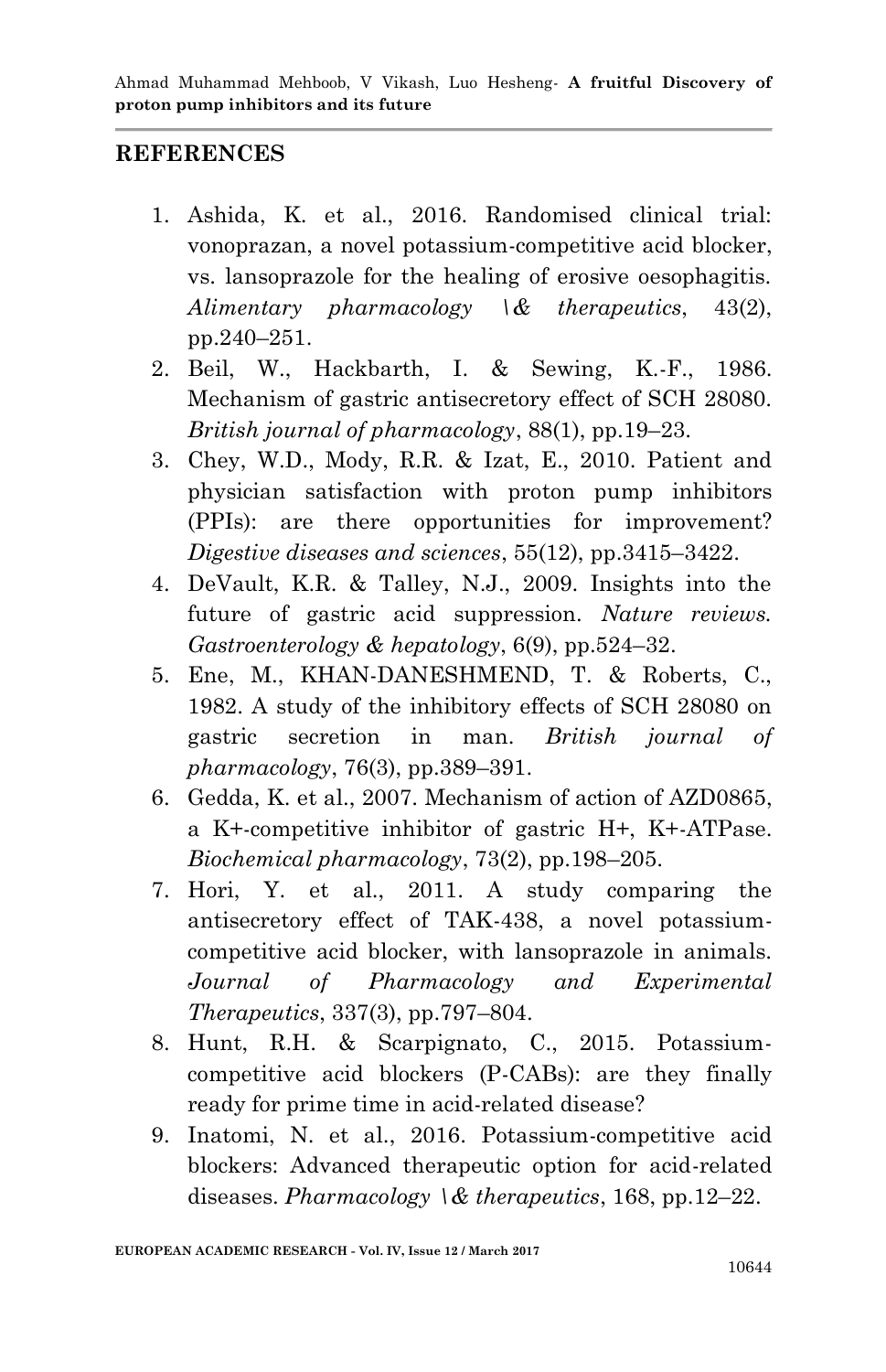#### **REFERENCES**

- 1. Ashida, K. et al., 2016. Randomised clinical trial: vonoprazan, a novel potassium-competitive acid blocker, vs. lansoprazole for the healing of erosive oesophagitis. *Alimentary pharmacology \& therapeutics*, 43(2), pp.240–251.
- 2. Beil, W., Hackbarth, I. & Sewing, K.-F., 1986. Mechanism of gastric antisecretory effect of SCH 28080. *British journal of pharmacology*, 88(1), pp.19–23.
- 3. Chey, W.D., Mody, R.R. & Izat, E., 2010. Patient and physician satisfaction with proton pump inhibitors (PPIs): are there opportunities for improvement? *Digestive diseases and sciences*, 55(12), pp.3415–3422.
- 4. DeVault, K.R. & Talley, N.J., 2009. Insights into the future of gastric acid suppression. *Nature reviews. Gastroenterology & hepatology*, 6(9), pp.524–32.
- 5. Ene, M., KHAN-DANESHMEND, T. & Roberts, C., 1982. A study of the inhibitory effects of SCH 28080 on gastric secretion in man. *British journal of pharmacology*, 76(3), pp.389–391.
- 6. Gedda, K. et al., 2007. Mechanism of action of AZD0865, a K+-competitive inhibitor of gastric H+, K+-ATPase. *Biochemical pharmacology*, 73(2), pp.198–205.
- 7. Hori, Y. et al., 2011. A study comparing the antisecretory effect of TAK-438, a novel potassiumcompetitive acid blocker, with lansoprazole in animals. *Journal of Pharmacology and Experimental Therapeutics*, 337(3), pp.797–804.
- 8. Hunt, R.H. & Scarpignato, C., 2015. Potassiumcompetitive acid blockers (P-CABs): are they finally ready for prime time in acid-related disease?
- 9. Inatomi, N. et al., 2016. Potassium-competitive acid blockers: Advanced therapeutic option for acid-related diseases. *Pharmacology \& therapeutics*, 168, pp.12–22.